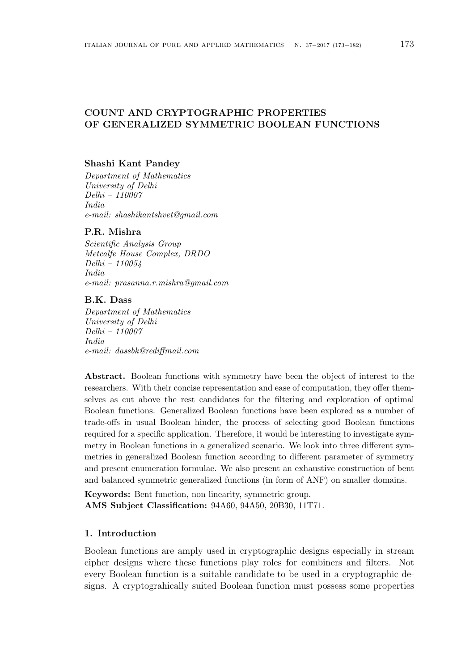# **COUNT AND CRYPTOGRAPHIC PROPERTIES OF GENERALIZED SYMMETRIC BOOLEAN FUNCTIONS**

### **Shashi Kant Pandey**

*Department of Mathematics University of Delhi Delhi – 110007 India e-mail: shashikantshvet@gmail.com*

### **P.R. Mishra**

*Scientific Analysis Group Metcalfe House Complex, DRDO Delhi – 110054 India e-mail: prasanna.r.mishra@gmail.com*

### **B.K. Dass**

*Department of Mathematics University of Delhi Delhi – 110007 India e-mail: dassbk@rediffmail.com*

**Abstract.** Boolean functions with symmetry have been the object of interest to the researchers. With their concise representation and ease of computation, they offer themselves as cut above the rest candidates for the filtering and exploration of optimal Boolean functions. Generalized Boolean functions have been explored as a number of trade-offs in usual Boolean hinder, the process of selecting good Boolean functions required for a specific application. Therefore, it would be interesting to investigate symmetry in Boolean functions in a generalized scenario. We look into three different symmetries in generalized Boolean function according to different parameter of symmetry and present enumeration formulae. We also present an exhaustive construction of bent and balanced symmetric generalized functions (in form of ANF) on smaller domains.

**Keywords:** Bent function, non linearity, symmetric group. **AMS Subject Classification:** 94A60, 94A50, 20B30, 11T71.

### **1. Introduction**

Boolean functions are amply used in cryptographic designs especially in stream cipher designs where these functions play roles for combiners and filters. Not every Boolean function is a suitable candidate to be used in a cryptographic designs. A cryptograhically suited Boolean function must possess some properties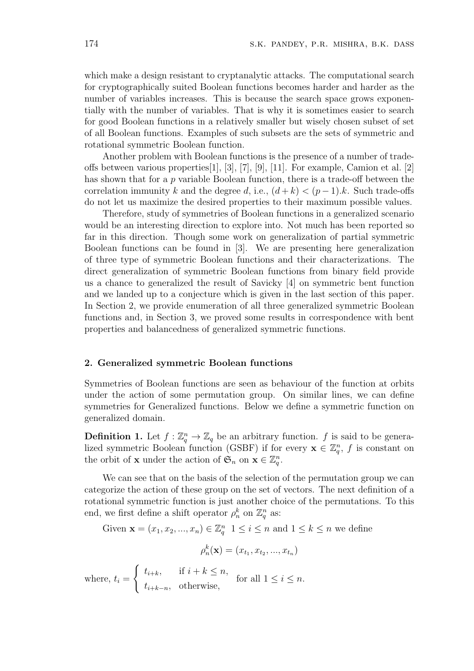which make a design resistant to cryptanalytic attacks. The computational search for cryptographically suited Boolean functions becomes harder and harder as the number of variables increases. This is because the search space grows exponentially with the number of variables. That is why it is sometimes easier to search for good Boolean functions in a relatively smaller but wisely chosen subset of set of all Boolean functions. Examples of such subsets are the sets of symmetric and rotational symmetric Boolean function.

Another problem with Boolean functions is the presence of a number of tradeoffs between various properties[1], [3], [7], [9], [11]. For example, Camion et al. [2] has shown that for a *p* variable Boolean function, there is a trade-off between the correlation immunity *k* and the degree *d*, i.e.,  $(d+k) < (p-1)k$ . Such trade-offs do not let us maximize the desired properties to their maximum possible values.

Therefore, study of symmetries of Boolean functions in a generalized scenario would be an interesting direction to explore into. Not much has been reported so far in this direction. Though some work on generalization of partial symmetric Boolean functions can be found in [3]. We are presenting here generalization of three type of symmetric Boolean functions and their characterizations. The direct generalization of symmetric Boolean functions from binary field provide us a chance to generalized the result of Savicky [4] on symmetric bent function and we landed up to a conjecture which is given in the last section of this paper. In Section 2, we provide enumeration of all three generalized symmetric Boolean functions and, in Section 3, we proved some results in correspondence with bent properties and balancedness of generalized symmetric functions.

### **2. Generalized symmetric Boolean functions**

Symmetries of Boolean functions are seen as behaviour of the function at orbits under the action of some permutation group. On similar lines, we can define symmetries for Generalized functions. Below we define a symmetric function on generalized domain.

**Definition 1.** Let  $f: \mathbb{Z}_q^n \to \mathbb{Z}_q$  be an arbitrary function. *f* is said to be generalized symmetric Boolean function (GSBF) if for every  $\mathbf{x} \in \mathbb{Z}_q^n$ , f is constant on the orbit of **x** under the action of  $\mathfrak{S}_n$  on  $\mathbf{x} \in \mathbb{Z}_q^n$ .

We can see that on the basis of the selection of the permutation group we can categorize the action of these group on the set of vectors. The next definition of a rotational symmetric function is just another choice of the permutations. To this end, we first define a shift operator  $\rho_n^k$  on  $\mathbb{Z}_q^n$  as:

Given  $\mathbf{x} = (x_1, x_2, ..., x_n) \in \mathbb{Z}_q^n$   $1 \leq i \leq n$  and  $1 \leq k \leq n$  we define

$$
\rho_n^k(\mathbf{x}) = (x_{t_1}, x_{t_2}, ..., x_{t_n})
$$
  
where,  $t_i = \begin{cases} t_{i+k}, & \text{if } i+k \leq n, \\ t_{i+k-n}, & \text{otherwise}, \end{cases}$  for all  $1 \leq i \leq n$ .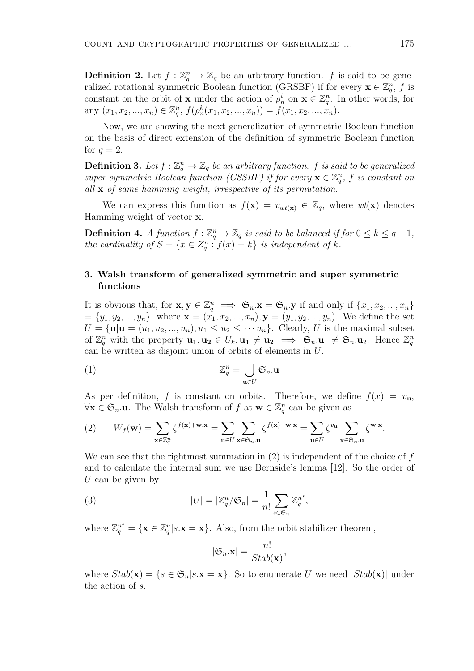**Definition 2.** Let  $f: \mathbb{Z}_q^n \to \mathbb{Z}_q$  be an arbitrary function.  $f$  is said to be generalized rotational symmetric Boolean function (GRSBF) if for every  $\mathbf{x} \in \mathbb{Z}_q^n$ , f is constant on the orbit of **x** under the action of  $\rho_n^i$  on  $\mathbf{x} \in \mathbb{Z}_q^n$ . In other words, for any  $(x_1, x_2, ..., x_n) \in \mathbb{Z}_q^n$ ,  $f(\rho_n^k(x_1, x_2, ..., x_n)) = f(x_1, x_2, ..., x_n)$ .

Now, we are showing the next generalization of symmetric Boolean function on the basis of direct extension of the definition of symmetric Boolean function for  $q=2$ .

**Definition 3.** Let  $f : \mathbb{Z}_q^n \to \mathbb{Z}_q$  be an arbitrary function.  $f$  is said to be generalized *super symmetric Boolean function (GSSBF) if for every*  $\mathbf{x} \in \mathbb{Z}_q^n$ , f is constant on *all* **x** *of same hamming weight, irrespective of its permutation.*

We can express this function as  $f(\mathbf{x}) = v_{wt(\mathbf{x})} \in \mathbb{Z}_q$ , where  $wt(\mathbf{x})$  denotes Hamming weight of vector **x**.

**Definition 4.** *A function*  $f: \mathbb{Z}_q^n \to \mathbb{Z}_q$  *is said to be balanced if for*  $0 \leq k \leq q-1$ *, the cardinality of*  $S = \{x \in Z_q^n : f(x) = k\}$  *is independent of k.* 

### **3. Walsh transform of generalized symmetric and super symmetric functions**

It is obvious that, for  $\mathbf{x}, \mathbf{y} \in \mathbb{Z}_q^n \implies \mathfrak{S}_n \cdot \mathbf{x} = \mathfrak{S}_n \cdot \mathbf{y}$  if and only if  $\{x_1, x_2, ..., x_n\}$  ${y_1, y_2, ..., y_n}$ , where  ${\bf x} = (x_1, x_2, ..., x_n), {\bf y} = (y_1, y_2, ..., y_n)$ . We define the set  $U = {\mathbf{u} | \mathbf{u} = (u_1, u_2, ..., u_n), u_1 \leq u_2 \leq \cdots u_n}.$  Clearly, *U* is the maximal subset of  $\mathbb{Z}_q^n$  with the property  $\mathbf{u_1}, \mathbf{u_2} \in U_k, \mathbf{u_1} \neq \mathbf{u_2} \implies \mathfrak{S}_n \cdot \mathbf{u_1} \neq \mathfrak{S}_n \cdot \mathbf{u_2}$ . Hence  $\mathbb{Z}_q^n$ can be written as disjoint union of orbits of elements in *U*.

(1) 
$$
\mathbb{Z}_q^n = \bigcup_{\mathbf{u} \in U} \mathfrak{S}_n \mathbf{u}
$$

As per definition, f is constant on orbits. Therefore, we define  $f(x) = v_{\mathbf{u}}$ , *∀***x** *∈* S*n.***u**. The Walsh transform of *f* at **w** *∈* Z *n q* can be given as

(2) 
$$
W_f(\mathbf{w}) = \sum_{\mathbf{x} \in \mathbb{Z}_q^n} \zeta^{f(\mathbf{x}) + \mathbf{w} \cdot \mathbf{x}} = \sum_{\mathbf{u} \in U} \sum_{\mathbf{x} \in \mathfrak{S}_n, \mathbf{u}} \zeta^{f(\mathbf{x}) + \mathbf{w} \cdot \mathbf{x}} = \sum_{\mathbf{u} \in U} \zeta^{v_{\mathbf{u}}} \sum_{\mathbf{x} \in \mathfrak{S}_n, \mathbf{u}} \zeta^{\mathbf{w} \cdot \mathbf{x}}.
$$

We can see that the rightmost summation in (2) is independent of the choice of *f* and to calculate the internal sum we use Bernside's lemma [12]. So the order of *U* can be given by

(3) 
$$
|U| = |\mathbb{Z}_q^n/\mathfrak{S}_n| = \frac{1}{n!} \sum_{s \in \mathfrak{S}_n} \mathbb{Z}_q^{n^s},
$$

where  $\mathbb{Z}_q^{n^s} = {\mathbf{x} \in \mathbb{Z}_q^n | s.\mathbf{x} = \mathbf{x}}$ . Also, from the orbit stabilizer theorem,

$$
|\mathfrak{S}_n.\mathbf{x}| = \frac{n!}{Stab(\mathbf{x})},
$$

where  $Stab(\mathbf{x}) = \{s \in \mathfrak{S}_n | s.\mathbf{x} = \mathbf{x}\}$ . So to enumerate *U* we need  $|Stab(\mathbf{x})|$  under the action of *s*.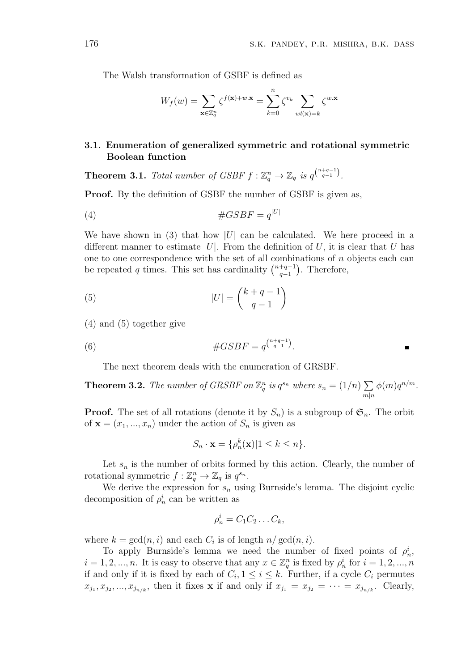$\blacksquare$ 

The Walsh transformation of GSBF is defined as

$$
W_f(w) = \sum_{\mathbf{x} \in \mathbb{Z}_q^n} \zeta^{f(\mathbf{x}) + w \cdot \mathbf{x}} = \sum_{k=0}^n \zeta^{v_k} \sum_{wt(\mathbf{x}) = k} \zeta^{w \cdot \mathbf{x}}
$$

## **3.1. Enumeration of generalized symmetric and rotational symmetric Boolean function**

**Theorem 3.1.** *Total number of GSBF*  $f : \mathbb{Z}_q^n \to \mathbb{Z}_q$  *is*  $q^{\binom{n+q-1}{q-1}}$ .

**Proof.** By the definition of GSBF the number of GSBF is given as,

$$
(4) \qquad \qquad #GSBF = q^{|U|}
$$

We have shown in (3) that how  $|U|$  can be calculated. We here proceed in a different manner to estimate |U|. From the definition of U, it is clear that U has one to one correspondence with the set of all combinations of *n* objects each can be repeated *q* times. This set has cardinality  $\binom{n+q-1}{q-1}$ *q−*1 ) . Therefore,

(5) 
$$
|U| = \binom{k+q-1}{q-1}
$$

(4) and (5) together give

(6) 
$$
\#GSBF = q^{\binom{n+q-1}{q-1}}.
$$

The next theorem deals with the enumeration of GRSBF.

**Theorem 3.2.** *The number of GRSBF on*  $\mathbb{Z}_q^n$  *is*  $q^{s_n}$  *where*  $s_n = (1/n) \sum$  $m|n$  $\phi(m)q^{n/m}$ .

**Proof.** The set of all rotations (denote it by  $S_n$ ) is a subgroup of  $\mathfrak{S}_n$ . The orbit of  $\mathbf{x} = (x_1, ..., x_n)$  under the action of  $S_n$  is given as

$$
S_n \cdot \mathbf{x} = \{ \rho_n^k(\mathbf{x}) | 1 \le k \le n \}.
$$

Let  $s_n$  is the number of orbits formed by this action. Clearly, the number of rotational symmetric  $f: \mathbb{Z}_q^n \to \mathbb{Z}_q$  is  $q^{s_n}$ .

We derive the expression for  $s_n$  using Burnside's lemma. The disjoint cyclic decomposition of  $\rho_n^i$  can be written as

$$
\rho_n^i = C_1 C_2 \dots C_k,
$$

where  $k = \gcd(n, i)$  and each  $C_i$  is of length  $n / \gcd(n, i)$ .

To apply Burnside's lemma we need the number of fixed points of  $\rho_n^i$ ,  $i = 1, 2, \ldots, n$ . It is easy to observe that any  $x \in \mathbb{Z}_q^n$  is fixed by  $\rho_n^i$  for  $i = 1, 2, \ldots, n$ if and only if it is fixed by each of  $C_i$ ,  $1 \leq i \leq k$ . Further, if a cycle  $C_i$  permutes  $x_{j_1}, x_{j_2}, \ldots, x_{j_{n/k}}$ , then it fixes **x** if and only if  $x_{j_1} = x_{j_2} = \cdots = x_{j_{n/k}}$ . Clearly,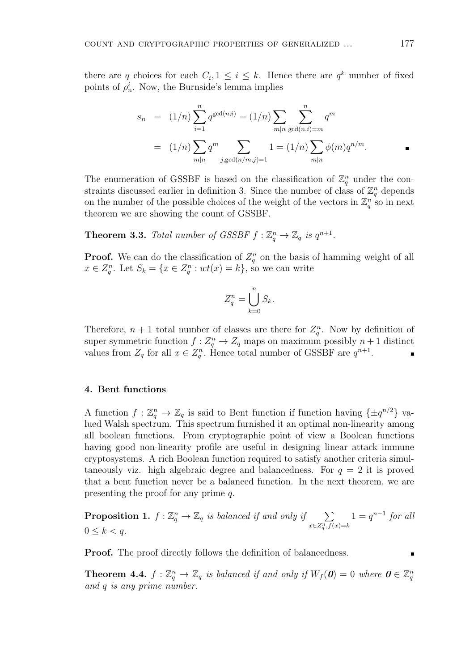there are *q* choices for each  $C_i$ ,  $1 \leq i \leq k$ . Hence there are  $q^k$  number of fixed points of  $\rho_n^i$ . Now, the Burnside's lemma implies

$$
s_n = (1/n) \sum_{i=1}^n q^{\gcd(n,i)} = (1/n) \sum_{m|n} \sum_{\gcd(n,i)=m}^n q^m
$$
  
=  $(1/n) \sum_{m|n} q^m \sum_{j,\gcd(n/m,j)=1} 1 = (1/n) \sum_{m|n} \phi(m) q^{n/m}.$ 

The enumeration of GSSBF is based on the classification of  $\mathbb{Z}_q^n$  under the constraints discussed earlier in definition 3. Since the number of class of  $\mathbb{Z}_q^n$  depends on the number of the possible choices of the weight of the vectors in  $\mathbb{Z}_q^n$  so in next theorem we are showing the count of GSSBF.

**Theorem 3.3.** Total number of GSSBF  $f : \mathbb{Z}_q^n \to \mathbb{Z}_q$  is  $q^{n+1}$ .

**Proof.** We can do the classification of  $Z_q^n$  on the basis of hamming weight of all  $x \in Z_q^n$ . Let  $S_k = \{x \in Z_q^n : wt(x) = k\}$ , so we can write

$$
Z_q^n = \bigcup_{k=0}^n S_k.
$$

Therefore,  $n + 1$  total number of classes are there for  $Z_q^n$ . Now by definition of super symmetric function  $f: Z_q^n \to Z_q$  maps on maximum possibly  $n+1$  distinct values from  $Z_q$  for all  $x \in Z_q^n$ . Hence total number of GSSBF are  $q^{n+1}$ .

### **4. Bent functions**

A function  $f: \mathbb{Z}_q^n \to \mathbb{Z}_q$  is said to Bent function if function having  $\{\pm q^{n/2}\}\$  valued Walsh spectrum. This spectrum furnished it an optimal non-linearity among all boolean functions. From cryptographic point of view a Boolean functions having good non-linearity profile are useful in designing linear attack immune cryptosystems. A rich Boolean function required to satisfy another criteria simultaneously viz. high algebraic degree and balancedness. For  $q = 2$  it is proved that a bent function never be a balanced function. In the next theorem, we are presenting the proof for any prime *q*.

**Proposition 1.**  $f : \mathbb{Z}_q^n \to \mathbb{Z}_q$  *is balanced if and only if*  $\sum$ *x∈Z<sup>n</sup> q ,f*(*x*)=*k*  $1 = q^{n-1}$  *for all*  $0 \leq k < q$ .

**Proof.** The proof directly follows the definition of balancedness.

**Theorem 4.4.**  $f: \mathbb{Z}_q^n \to \mathbb{Z}_q$  is balanced if and only if  $W_f(\boldsymbol{0}) = 0$  where  $\boldsymbol{0} \in \mathbb{Z}_q^n$ *and q is any prime number.*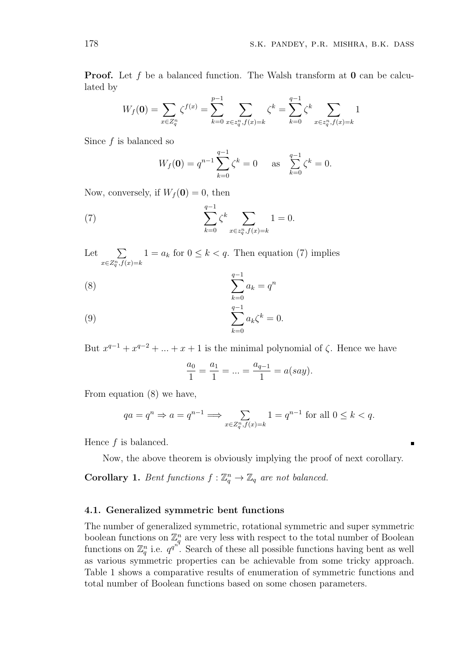**Proof.** Let f be a balanced function. The Walsh transform at **0** can be calculated by

$$
W_f(\mathbf{0}) = \sum_{x \in Z_q^n} \zeta^{f(x)} = \sum_{k=0}^{p-1} \sum_{x \in z_q^n, f(x) = k} \zeta^k = \sum_{k=0}^{q-1} \zeta^k \sum_{x \in z_q^n, f(x) = k} 1
$$

Since *f* is balanced so

$$
W_f(\mathbf{0}) = q^{n-1} \sum_{k=0}^{q-1} \zeta^k = 0 \quad \text{as} \quad \sum_{k=0}^{q-1} \zeta^k = 0.
$$

Now, conversely, if  $W_f(\mathbf{0}) = 0$ , then

(7) 
$$
\sum_{k=0}^{q-1} \zeta^k \sum_{x \in z_q^n, f(x) = k} 1 = 0.
$$

Let  $\sum$ *x∈Z<sup>n</sup> q ,f*(*x*)=*k*  $1 = a_k$  for  $0 \leq k < q$ . Then equation (7) implies

$$
\sum_{k=0}^{q-1} a_k = q^n
$$

(9) 
$$
\sum_{k=0}^{q-1} a_k \zeta^k = 0.
$$

But  $x^{q-1} + x^{q-2} + \ldots + x + 1$  is the minimal polynomial of  $\zeta$ . Hence we have

$$
\frac{a_0}{1} = \frac{a_1}{1} = \ldots = \frac{a_{q-1}}{1} = a(say).
$$

From equation (8) we have,

$$
qa = q^n \Rightarrow a = q^{n-1} \Longrightarrow \sum_{x \in Z_q^n, f(x) = k} 1 = q^{n-1} \text{ for all } 0 \le k < q.
$$

Hence *f* is balanced.

Now, the above theorem is obviously implying the proof of next corollary.

**Corollary 1.** *Bent functions*  $f: \mathbb{Z}_q^n \to \mathbb{Z}_q$  *are not balanced.* 

### **4.1. Generalized symmetric bent functions**

The number of generalized symmetric, rotational symmetric and super symmetric boolean functions on  $\mathbb{Z}_q^n$  are very less with respect to the total number of Boolean functions on  $\mathbb{Z}_q^n$  i.e.  $q^{q^{n^2}}$ . Search of these all possible functions having bent as well as various symmetric properties can be achievable from some tricky approach. Table 1 shows a comparative results of enumeration of symmetric functions and total number of Boolean functions based on some chosen parameters.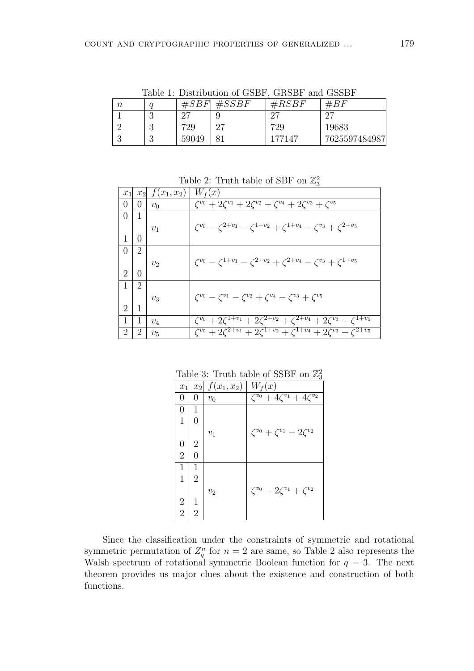$n \mid q \mid \#SBF \mid \#SSBF \mid \#RSBF \mid \#BF$ 1 3 27 9 27 27 2 3 729 27 729 19683 3 3 59049 81 177147 7625597484987

Table 1: Distribution of GSBF, GRSBF and GSSBF

Table 2: Truth table of SBF on  $\mathbb{Z}_3^2$ 

| $x_1$            |                | $x_2 \mid f(x_1, x_2) \mid W_f(x)$ |                                                                                                |
|------------------|----------------|------------------------------------|------------------------------------------------------------------------------------------------|
| $\overline{0}$   | $\overline{0}$ | $v_0$                              | $\zeta^{v_0} + 2\zeta^{v_1} + 2\zeta^{v_2} + \zeta^{v_4} + 2\zeta^{v_3} + \zeta^{v_5}$         |
| $\left( \right)$ | 1              |                                    |                                                                                                |
|                  |                |                                    | $\zeta^{v_0} - \zeta^{2+v_1} - \zeta^{1+v_2} + \zeta^{1+v_4} - \zeta^{v_3} + \zeta^{2+v_5}$    |
| 1                | 0              |                                    |                                                                                                |
| $\theta$         | $\overline{2}$ |                                    |                                                                                                |
|                  |                | $v_2$                              | $\zeta^{v_0} - \zeta^{1+v_1} - \zeta^{2+v_2} + \zeta^{2+v_4} - \zeta^{v_3} + \zeta^{1+v_5}$    |
| $\overline{2}$   | $\Omega$       |                                    |                                                                                                |
| $\mathbf{1}$     | 2              |                                    |                                                                                                |
|                  |                | $v_{3}$                            | $\zeta^{v_0} - \zeta^{v_1} - \zeta^{v_2} + \zeta^{v_4} - \zeta^{v_3} + \zeta^{v_5}$            |
| $\overline{2}$   | 1              |                                    |                                                                                                |
| 1                | 1              | $v_4$                              | $\zeta^{v_0} + 2\zeta^{1+v_1} + 2\zeta^{2+v_2} + \zeta^{2+v_4} + 2\zeta^{v_3} + \zeta^{1+v_5}$ |
| 2                | 2              | $v_{5}$                            | $\zeta^{v_0} + 2\zeta^{2+v_1} + 2\zeta^{1+v_2} + \zeta^{1+v_4} + 2\zeta^{v_3} + \zeta^{2+v_5}$ |

Table 3: Truth table of SSBF on  $\mathbb{Z}_3^2$ 

| $ x_1 $                 |                | $x_2 \mid f(x_1, x_2) \mid W_f(x)$ |                                             |
|-------------------------|----------------|------------------------------------|---------------------------------------------|
| 0                       | $\theta$       | $v_0$                              | $\zeta^{v_0} + 4\zeta^{v_1} + 4\zeta^{v_2}$ |
|                         |                |                                    |                                             |
| $\overline{1}$          | $\theta$       |                                    |                                             |
|                         |                | $v_1$                              | $\zeta^{v_0} + \zeta^{v_1} - 2\zeta^{v_2}$  |
| $\overline{0}$          | $\overline{2}$ |                                    |                                             |
| $\overline{2}$          | $\Omega$       |                                    |                                             |
| $\mathbf{1}$            | 1              |                                    |                                             |
| $\overline{1}$          | $\overline{2}$ |                                    |                                             |
|                         |                | $v_2$                              | $\zeta^{v_0} - 2\zeta^{v_1} + \zeta^{v_2}$  |
| $\overline{\mathbf{c}}$ | 1              |                                    |                                             |
| $\overline{2}$          | $\overline{2}$ |                                    |                                             |

Since the classification under the constraints of symmetric and rotational symmetric permutation of  $Z_q^n$  for  $n=2$  are same, so Table 2 also represents the Walsh spectrum of rotational symmetric Boolean function for  $q = 3$ . The next theorem provides us major clues about the existence and construction of both functions.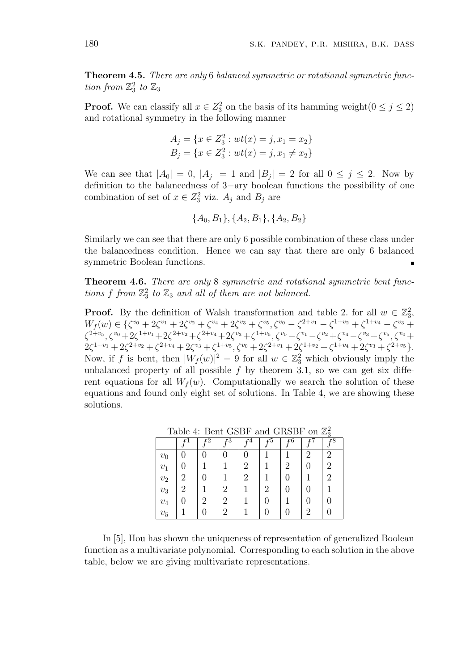**Theorem 4.5.** *There are only* 6 *balanced symmetric or rotational symmetric function from*  $\mathbb{Z}_3^2$  *to*  $\mathbb{Z}_3$ 

**Proof.** We can classify all  $x \in Z_3^2$  on the basis of its hamming weight $(0 \le j \le 2)$ and rotational symmetry in the following manner

$$
A_j = \{x \in Z_3^2 : wt(x) = j, x_1 = x_2\}
$$
  

$$
B_j = \{x \in Z_3^2 : wt(x) = j, x_1 \neq x_2\}
$$

We can see that  $|A_0| = 0$ ,  $|A_j| = 1$  and  $|B_j| = 2$  for all  $0 \le j \le 2$ . Now by definition to the balancedness of 3*−*ary boolean functions the possibility of one combination of set of  $x \in Z_3^2$  viz.  $A_j$  and  $B_j$  are

$$
\{A_0, B_1\}, \{A_2, B_1\}, \{A_2, B_2\}
$$

Similarly we can see that there are only 6 possible combination of these class under the balancedness condition. Hence we can say that there are only 6 balanced symmetric Boolean functions.

**Theorem 4.6.** *There are only* 8 *symmetric and rotational symmetric bent functions*  $f$  *from*  $\mathbb{Z}_3^2$  *to*  $\mathbb{Z}_3$  *and all of them are not balanced.* 

**Proof.** By the definition of Walsh transformation and table 2. for all  $w \in \mathbb{Z}_3^2$ ,  $W_f(w) \in \{ \zeta^{v_0} + 2\zeta^{v_1} + 2\zeta^{v_2} + \zeta^{v_4} + 2\zeta^{v_3} + \zeta^{v_5}, \zeta^{v_0} - \zeta^{2+v_1} - \zeta^{1+v_2} + \zeta^{1+v_4} - \zeta^{v_3} + \zeta^{v_4} - \zeta^{v_5} + \zeta^{v_6} + \zeta^{v_7} + \zeta^{v_8} + \zeta^{v_9} + \zeta^{v_9} + \zeta^{v_1} + \zeta^{v_4} + \zeta^{v_6} + \zeta^{v_7} + \zeta^{v_$  $\zeta^{2+v_5}, \zeta^{v_0}+2\zeta^{1+v_1}+2\zeta^{2+v_2}+\zeta^{2+v_4}+2\zeta^{v_3}+\zeta^{1+v_5}, \zeta^{v_0}-\zeta^{v_1}-\zeta^{v_2}+\zeta^{v_4}-\zeta^{v_3}+\zeta^{v_5}, \zeta^{v_0}+\zeta^{v_1}+\zeta^{v_2}+\zeta^{v_3}+\zeta^{v_4}+\zeta^{v_5}+\zeta^{v_6}+\zeta^{v_6}+\zeta^{v_7}+\zeta^{v_8}+\zeta^{v_9}+\zeta^{v_9}+\zeta^{v_9}+\$  $2\zeta^{1+v_1} + 2\zeta^{2+v_2} + \zeta^{2+v_4} + 2\zeta^{v_3} + \zeta^{1+v_5}, \zeta^{v_0} + 2\zeta^{2+v_1} + 2\zeta^{1+v_2} + \zeta^{1+v_4} + 2\zeta^{v_3} + \zeta^{2+v_5}$ Now, if *f* is bent, then  $|W_f(w)|^2 = 9$  for all  $w \in \mathbb{Z}_3^2$  which obviously imply the unbalanced property of all possible  $f$  by theorem 3.1, so we can get six different equations for all  $W_f(w)$ . Computationally we search the solution of these equations and found only eight set of solutions. In Table 4, we are showing these solutions.

|              |                             |    | c3            |                             |    |   |    | $\tilde{\phantom{a}}$<br>$\overline{r8}$ |
|--------------|-----------------------------|----|---------------|-----------------------------|----|---|----|------------------------------------------|
|              |                             | ., |               | .,                          | ., |   | ., |                                          |
| $v_0$        | 0                           | 0  | $\mathcal{O}$ |                             |    |   | 2  | 2                                        |
| $v_1$        |                             |    |               | 2                           |    | 2 |    | 2                                        |
| $\upsilon_2$ | $\mathcal{D}_{\mathcal{L}}$ | 0  |               | $\mathcal{D}_{\mathcal{L}}$ |    |   |    | 2                                        |
| $\upsilon_3$ | $\overline{2}$              |    | 2             |                             | 2  |   |    |                                          |
| $\upsilon_4$ |                             | 2  | 2             |                             |    |   |    | 0                                        |
| $v_{\rm 5}$  |                             | 0  | 2             |                             |    |   | 2  |                                          |

Table 4: Bent GSBF and GRSBF on  $\mathbb{Z}_3^2$ 

In [5], Hou has shown the uniqueness of representation of generalized Boolean function as a multivariate polynomial. Corresponding to each solution in the above table, below we are giving multivariate representations.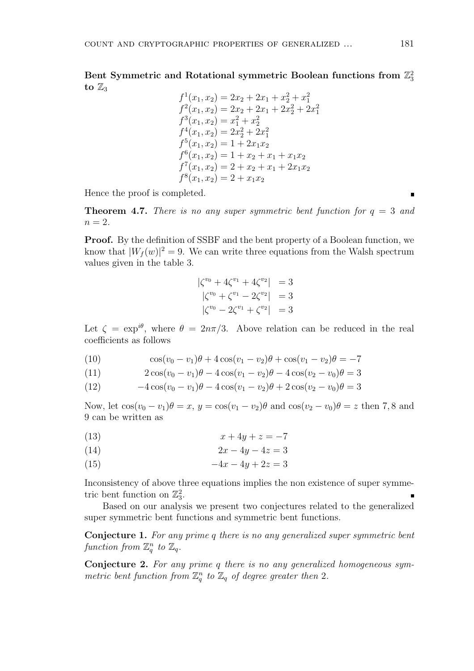Bent Symmetric and Rotational symmetric Boolean functions from  $\mathbb{Z}_3^2$ to  $\mathbb{Z}_3$ 

$$
f^{1}(x_{1}, x_{2}) = 2x_{2} + 2x_{1} + x_{2}^{2} + x_{1}^{2}
$$
  
\n
$$
f^{2}(x_{1}, x_{2}) = 2x_{2} + 2x_{1} + 2x_{2}^{2} + 2x_{1}^{2}
$$
  
\n
$$
f^{3}(x_{1}, x_{2}) = x_{1}^{2} + x_{2}^{2}
$$
  
\n
$$
f^{4}(x_{1}, x_{2}) = 2x_{2}^{2} + 2x_{1}^{2}
$$
  
\n
$$
f^{5}(x_{1}, x_{2}) = 1 + 2x_{1}x_{2}
$$
  
\n
$$
f^{6}(x_{1}, x_{2}) = 1 + x_{2} + x_{1} + x_{1}x_{2}
$$
  
\n
$$
f^{7}(x_{1}, x_{2}) = 2 + x_{2} + x_{1} + 2x_{1}x_{2}
$$
  
\n
$$
f^{8}(x_{1}, x_{2}) = 2 + x_{1}x_{2}
$$

Hence the proof is completed.

**Theorem 4.7.** *There is no any super symmetric bent function for*  $q = 3$  *and*  $n = 2.$ 

**Proof.** By the definition of SSBF and the bent property of a Boolean function, we know that  $|W_f(w)|^2 = 9$ . We can write three equations from the Walsh spectrum values given in the table 3*.*

$$
\begin{aligned}\n|\zeta^{v_0} + 4\zeta^{v_1} + 4\zeta^{v_2}| &= 3\\ \n|\zeta^{v_0} + \zeta^{v_1} - 2\zeta^{v_2}| &= 3\\ \n|\zeta^{v_0} - 2\zeta^{v_1} + \zeta^{v_2}| &= 3\n\end{aligned}
$$

Let  $\zeta = \exp^{i\theta}$ , where  $\theta = 2n\pi/3$ . Above relation can be reduced in the real coefficients as follows

(10) 
$$
\cos(v_0 - v_1)\theta + 4\cos(v_1 - v_2)\theta + \cos(v_1 - v_2)\theta = -7
$$

(11) 
$$
2\cos(v_0 - v_1)\theta - 4\cos(v_1 - v_2)\theta - 4\cos(v_2 - v_0)\theta = 3
$$

(12) 
$$
-4\cos(v_0 - v_1)\theta - 4\cos(v_1 - v_2)\theta + 2\cos(v_2 - v_0)\theta = 3
$$

Now, let  $\cos(v_0 - v_1)\theta = x$ ,  $y = \cos(v_1 - v_2)\theta$  and  $\cos(v_2 - v_0)\theta = z$  then 7,8 and 9 can be written as

$$
(13) \qquad \qquad x + 4y + z = -7
$$

$$
(14) \qquad \qquad 2x - 4y - 4z = 3
$$

(15)  $-4x - 4y + 2z = 3$ 

Inconsistency of above three equations implies the non existence of super symmetric bent function on  $\mathbb{Z}_3^2$ .

Based on our analysis we present two conjectures related to the generalized super symmetric bent functions and symmetric bent functions.

**Conjecture 1.** *For any prime q there is no any generalized super symmetric bent* function from  $\mathbb{Z}_q^n$  to  $\mathbb{Z}_q$ .

**Conjecture 2.** *For any prime q there is no any generalized homogeneous symmetric bent function from*  $\mathbb{Z}_q^n$  *to*  $\mathbb{Z}_q$  *of degree greater then* 2*.*